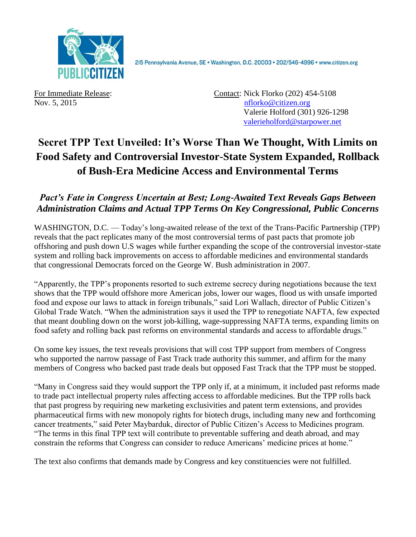

2I5 Pennsylvania Avenue, SE · Washington, D.C. 20003 · 202/546-4996 · www.citizen.org

For Immediate Release: Contact: Nick Florko (202) 454-5108 Nov. 5, 2015 **[nflorko@citizen.org](mailto:nflorko@citizen.org)** Valerie Holford (301) 926-1298 [valerieholford@starpower.net](mailto:valerieholford@starpower.net)

# **Secret TPP Text Unveiled: It's Worse Than We Thought, With Limits on Food Safety and Controversial Investor-State System Expanded, Rollback of Bush-Era Medicine Access and Environmental Terms**

## *Pact's Fate in Congress Uncertain at Best; Long-Awaited Text Reveals Gaps Between Administration Claims and Actual TPP Terms On Key Congressional, Public Concerns*

WASHINGTON, D.C. — Today's long-awaited release of the text of the Trans-Pacific Partnership (TPP) reveals that the pact replicates many of the most controversial terms of past pacts that promote job offshoring and push down U.S wages while further expanding the scope of the controversial investor-state system and rolling back improvements on access to affordable medicines and environmental standards that congressional Democrats forced on the George W. Bush administration in 2007.

"Apparently, the TPP's proponents resorted to such extreme secrecy during negotiations because the text shows that the TPP would offshore more American jobs, lower our wages, flood us with unsafe imported food and expose our laws to attack in foreign tribunals," said Lori Wallach, director of Public Citizen's Global Trade Watch. "When the administration says it used the TPP to renegotiate NAFTA, few expected that meant doubling down on the worst job-killing, wage-suppressing NAFTA terms, expanding limits on food safety and rolling back past reforms on environmental standards and access to affordable drugs."

On some key issues, the text reveals provisions that will cost TPP support from members of Congress who supported the narrow passage of Fast Track trade authority this summer, and affirm for the many members of Congress who backed past trade deals but opposed Fast Track that the TPP must be stopped.

"Many in Congress said they would support the TPP only if, at a minimum, it included past reforms made to trade pact intellectual property rules affecting access to affordable medicines. But the TPP rolls back that past progress by requiring new marketing exclusivities and patent term extensions, and provides pharmaceutical firms with new monopoly rights for biotech drugs, including many new and forthcoming cancer treatments," said Peter Maybarduk, director of Public Citizen's Access to Medicines program. "The terms in this final TPP text will contribute to preventable suffering and death abroad, and may constrain the reforms that Congress can consider to reduce Americans' medicine prices at home."

The text also confirms that demands made by Congress and key constituencies were not fulfilled.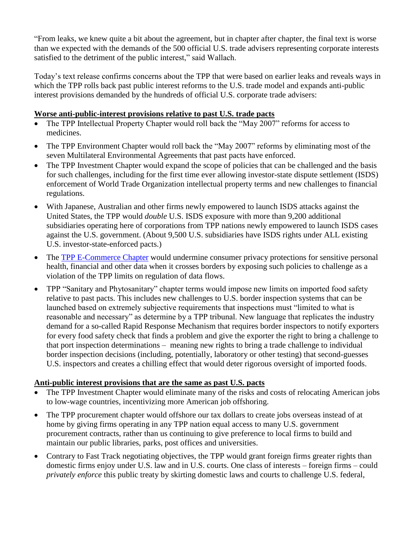"From leaks, we knew quite a bit about the agreement, but in chapter after chapter, the final text is worse than we expected with the demands of the 500 official U.S. trade advisers representing corporate interests satisfied to the detriment of the public interest," said Wallach.

Today's text release confirms concerns about the TPP that were based on earlier leaks and reveals ways in which the TPP rolls back past public interest reforms to the U.S. trade model and expands anti-public interest provisions demanded by the hundreds of official U.S. corporate trade advisers:

#### **Worse anti-public-interest provisions relative to past U.S. trade pacts**

- The TPP Intellectual Property Chapter would roll back the "May 2007" reforms for access to medicines.
- The TPP Environment Chapter would roll back the "May 2007" reforms by eliminating most of the seven Multilateral Environmental Agreements that past pacts have enforced.
- The TPP Investment Chapter would expand the scope of policies that can be challenged and the basis for such challenges, including for the first time ever allowing investor-state dispute settlement (ISDS) enforcement of World Trade Organization intellectual property terms and new challenges to financial regulations.
- With Japanese, Australian and other firms newly empowered to launch ISDS attacks against the United States, the TPP would *double* U.S. ISDS exposure with more than 9,200 additional subsidiaries operating here of corporations from TPP nations newly empowered to launch ISDS cases against the U.S. government. (About 9,500 U.S. subsidiaries have ISDS rights under ALL existing U.S. investor-state-enforced pacts.)
- The [TPP E-Commerce Chapter](http://www.citizen.org/pressroom/pressroomredirect.cfm?ID=5723) would undermine consumer privacy protections for sensitive personal health, financial and other data when it crosses borders by exposing such policies to challenge as a violation of the TPP limits on regulation of data flows.
- TPP "Sanitary and Phytosanitary" chapter terms would impose new limits on imported food safety relative to past pacts. This includes new challenges to U.S. border inspection systems that can be launched based on extremely subjective requirements that inspections must "limited to what is reasonable and necessary" as determine by a TPP tribunal. New language that replicates the industry demand for a so-called Rapid Response Mechanism that requires border inspectors to notify exporters for every food safety check that finds a problem and give the exporter the right to bring a challenge to that port inspection determinations – meaning new rights to bring a trade challenge to individual border inspection decisions (including, potentially, laboratory or other testing) that second-guesses U.S. inspectors and creates a chilling effect that would deter rigorous oversight of imported foods.

### **Anti-public interest provisions that are the same as past U.S. pacts**

- The TPP Investment Chapter would eliminate many of the risks and costs of relocating American jobs to low-wage countries, incentivizing more American job offshoring.
- The TPP procurement chapter would offshore our tax dollars to create jobs overseas instead of at home by giving firms operating in any TPP nation equal access to many U.S. government procurement contracts, rather than us continuing to give preference to local firms to build and maintain our public libraries, parks, post offices and universities.
- Contrary to Fast Track negotiating objectives, the TPP would grant foreign firms greater rights than domestic firms enjoy under U.S. law and in U.S. courts. One class of interests – foreign firms – could *privately enforce* this public treaty by skirting domestic laws and courts to challenge U.S. federal,